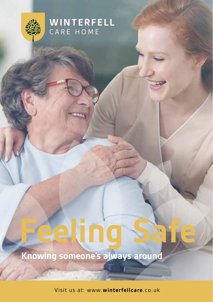

### **WINTERFELL** CARE HOME

# **Knowing someone's always around**

Visit us at: www.winterfellcare.co.uk

**Safe Feeling**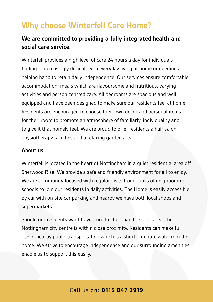## **Why choose Winterfell Care Home?**

### **We are committed to providing a fully integrated health and .service care social**

Winterfell provides a high level of care 24 hours a day for individuals finding it increasingly difficult with everyday living at home or needing a helping hand to retain daily independence. Our services ensure comfortable accommodation, meals which are flavoursome and nutritious, varving activities and person centred care. All bedrooms are spacious and well equipped and have been designed to make sure our residents feel at home. Residents are encouraged to choose their own décor and personal items for their room to promote an atmosphere of familiarly, individuality and to give it that homely feel. We are proud to offer residents a hair salon, physiotherapy facilities and a relaxing garden area.

#### **About** us

Winterfell is located in the heart of Nottingham in a quiet residential area off Sherwood Rise. We provide a safe and friendly environment for all to enjoy. We are community focused with regular visits from pupils of neighbouring schools to join our residents in daily activities. The Home is easily accessible by car with on-site car parking and nearby we have both local shops and supermarkets.

Should our residents want to venture further than the local area, the Nottingham city centre is within close proximity. Residents can make full use of nearby public transportation which is a short 2 minute walk from the home. We strive to encourage independence and our surrounding amenities enable us to support this easily.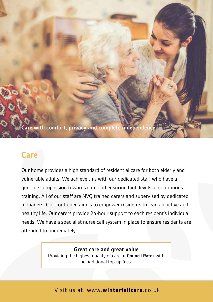**Care with comfort, privacy and complete independence** 

### **Care**

Our home provides a high standard of residential care for both elderly and vulnerable adults. We achieve this with our dedicated staff who have a genuine compassion towards care and ensuring high levels of continuous training. All of our staff are NVQ trained carers and supervised by dedicated managers. Our continued aim is to empower residents to lead an active and healthy life. Our carers provide 24-hour support to each resident's individual needs. We have a specialist nurse call system in place to ensure residents are attended to immediately...

#### **Great care and great value**

Providing the highest quality of care at **Council Rates** with no additional top-up fees.

Visit us at: www.winterfellcare.co.uk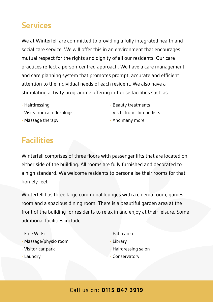## **Services**

We at Winterfell are committed to providing a fully integrated health and social care service. We will offer this in an environment that encourages mutual respect for the rights and dignity of all our residents. Our care practices reflect a person-centred approach. We have a care management and care planning system that promotes prompt, accurate and efficient attention to the individual needs of each resident. We also have a stimulating activity programme offering in-house facilities such as:

- Hairdressing -
- Visits from a reflexologist
- Massage therapy
- Beauty treatments
- Visits from chiropodists
- And many more

### **Facilities**

Winterfell comprises of three floors with passenger lifts that are located on either side of the building. All rooms are fully furnished and decorated to a high standard. We welcome residents to personalise their rooms for that homely feel.

Winterfell has three large communal lounges with a cinema room, games room and a spacious dining room. There is a beautiful garden area at the front of the building for residents to relax in and enjoy at their leisure. Some additional facilities include:

- Free Wi-Fi
- Massage/physio room
- Visitor car park
- Laundry -
- Patio area
- Library -
- Hairdressing salon
- Conservatory -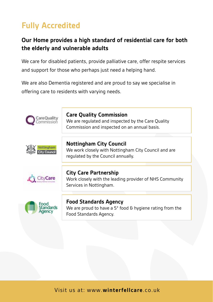# **Fully Accredited**

### **Our Home provides a high standard of residential care for both** the elderly and vulnerable adults

We care for disabled patients, provide palliative care, offer respite services and support for those who perhaps just need a helping hand.

We are also Dementia registered and are proud to say we specialise in offering care to residents with varving needs.



Visit us at: www.winterfellcare.co.uk